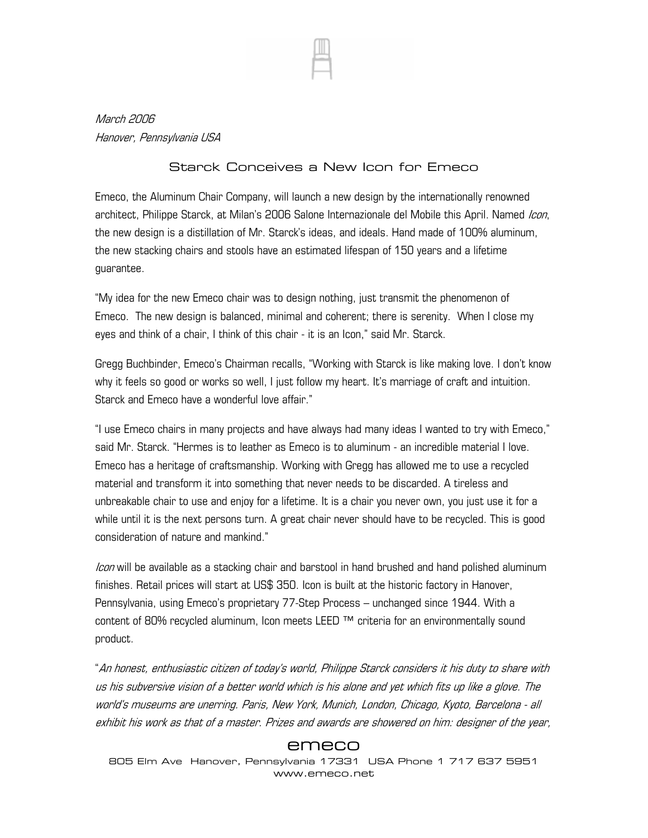

March 2006 Hanover, Pennsylvania USA

## Starck Conceives a New Icon for Emeco

Emeco, the Aluminum Chair Company, will launch a new design by the internationally renowned architect, Philippe Starck, at Milan's 2006 Salone Internazionale del Mobile this April. Named Icon, the new design is a distillation of Mr. Starck's ideas, and ideals. Hand made of 100% aluminum, the new stacking chairs and stools have an estimated lifespan of 150 years and a lifetime guarantee.

"My idea for the new Emeco chair was to design nothing, just transmit the phenomenon of Emeco. The new design is balanced, minimal and coherent; there is serenity. When I close my eyes and think of a chair, I think of this chair - it is an Icon," said Mr. Starck.

Gregg Buchbinder, Emeco's Chairman recalls, "Working with Starck is like making love. I don't know why it feels so good or works so well, I just follow my heart. It's marriage of craft and intuition. Starck and Emeco have a wonderful love affair."

"I use Emeco chairs in many projects and have always had many ideas I wanted to try with Emeco," said Mr. Starck. "Hermes is to leather as Emeco is to aluminum - an incredible material I love. Emeco has a heritage of craftsmanship. Working with Gregg has allowed me to use a recycled material and transform it into something that never needs to be discarded. A tireless and unbreakable chair to use and enjoy for a lifetime. It is a chair you never own, you just use it for a while until it is the next persons turn. A great chair never should have to be recycled. This is good consideration of nature and mankind."

Icon will be available as a stacking chair and barstool in hand brushed and hand polished aluminum finishes. Retail prices will start at US\$ 350. Icon is built at the historic factory in Hanover, Pennsylvania, using Emeco's proprietary 77-Step Process – unchanged since 1944. With a content of 80% recycled aluminum, Icon meets LEED ™ criteria for an environmentally sound product.

"An honest, enthusiastic citizen of today's world, Philippe Starck considers it his duty to share with us his subversive vision of a better world which is his alone and yet which fits up like a glove. The world's museums are unerring. Paris, New York, Munich, London, Chicago, Kyoto, Barcelona - all exhibit his work as that of a master. Prizes and awards are showered on him: designer of the year,

## emeco

805 Elm Ave Hanover, Pennsylvania 17331 USA Phone 1 717 637 5951 www.emeco.net